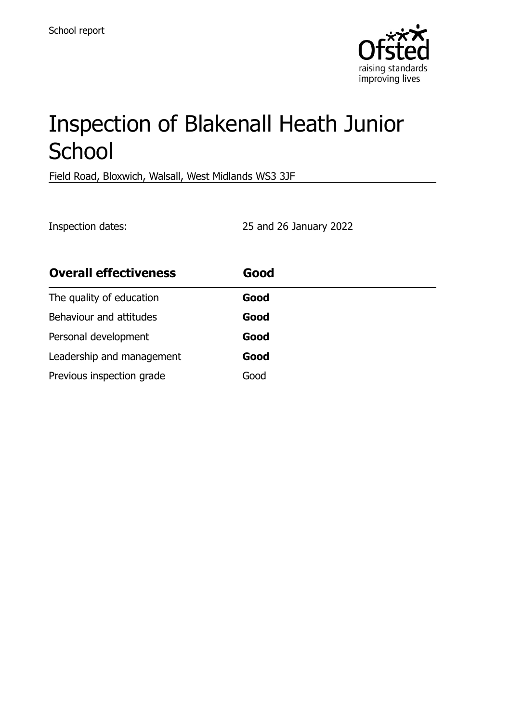

# Inspection of Blakenall Heath Junior **School**

Field Road, Bloxwich, Walsall, West Midlands WS3 3JF

Inspection dates: 25 and 26 January 2022

| <b>Overall effectiveness</b> | Good |
|------------------------------|------|
| The quality of education     | Good |
| Behaviour and attitudes      | Good |
| Personal development         | Good |
| Leadership and management    | Good |
| Previous inspection grade    | Good |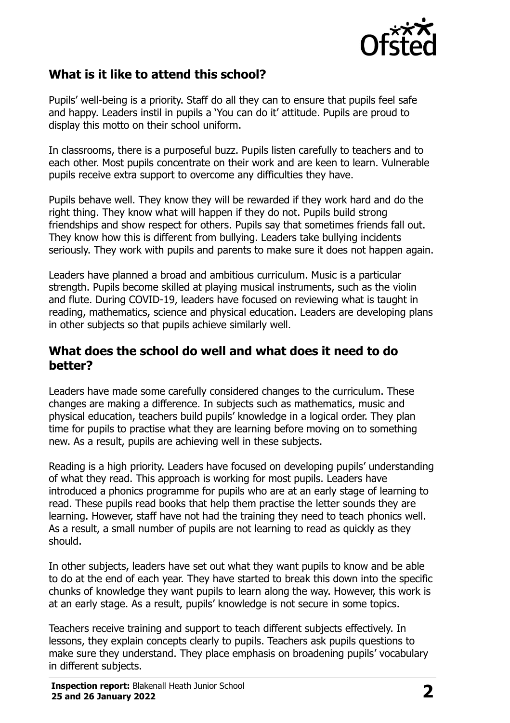

## **What is it like to attend this school?**

Pupils' well-being is a priority. Staff do all they can to ensure that pupils feel safe and happy. Leaders instil in pupils a 'You can do it' attitude. Pupils are proud to display this motto on their school uniform.

In classrooms, there is a purposeful buzz. Pupils listen carefully to teachers and to each other. Most pupils concentrate on their work and are keen to learn. Vulnerable pupils receive extra support to overcome any difficulties they have.

Pupils behave well. They know they will be rewarded if they work hard and do the right thing. They know what will happen if they do not. Pupils build strong friendships and show respect for others. Pupils say that sometimes friends fall out. They know how this is different from bullying. Leaders take bullying incidents seriously. They work with pupils and parents to make sure it does not happen again.

Leaders have planned a broad and ambitious curriculum. Music is a particular strength. Pupils become skilled at playing musical instruments, such as the violin and flute. During COVID-19, leaders have focused on reviewing what is taught in reading, mathematics, science and physical education. Leaders are developing plans in other subjects so that pupils achieve similarly well.

#### **What does the school do well and what does it need to do better?**

Leaders have made some carefully considered changes to the curriculum. These changes are making a difference. In subjects such as mathematics, music and physical education, teachers build pupils' knowledge in a logical order. They plan time for pupils to practise what they are learning before moving on to something new. As a result, pupils are achieving well in these subjects.

Reading is a high priority. Leaders have focused on developing pupils' understanding of what they read. This approach is working for most pupils. Leaders have introduced a phonics programme for pupils who are at an early stage of learning to read. These pupils read books that help them practise the letter sounds they are learning. However, staff have not had the training they need to teach phonics well. As a result, a small number of pupils are not learning to read as quickly as they should.

In other subjects, leaders have set out what they want pupils to know and be able to do at the end of each year. They have started to break this down into the specific chunks of knowledge they want pupils to learn along the way. However, this work is at an early stage. As a result, pupils' knowledge is not secure in some topics.

Teachers receive training and support to teach different subjects effectively. In lessons, they explain concepts clearly to pupils. Teachers ask pupils questions to make sure they understand. They place emphasis on broadening pupils' vocabulary in different subjects.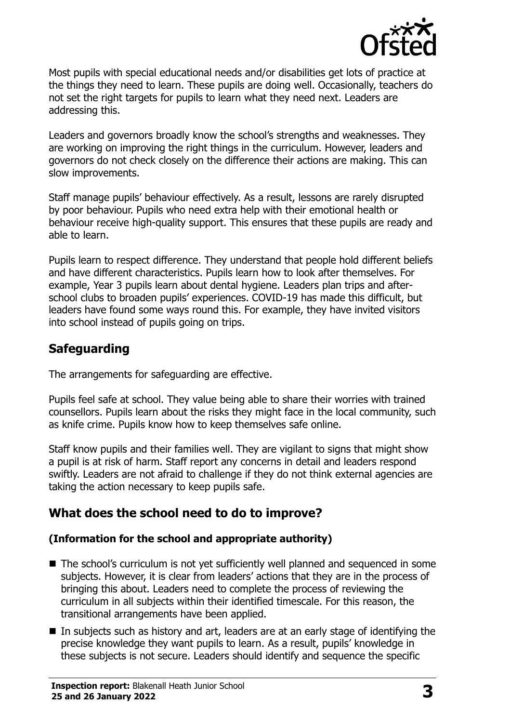

Most pupils with special educational needs and/or disabilities get lots of practice at the things they need to learn. These pupils are doing well. Occasionally, teachers do not set the right targets for pupils to learn what they need next. Leaders are addressing this.

Leaders and governors broadly know the school's strengths and weaknesses. They are working on improving the right things in the curriculum. However, leaders and governors do not check closely on the difference their actions are making. This can slow improvements.

Staff manage pupils' behaviour effectively. As a result, lessons are rarely disrupted by poor behaviour. Pupils who need extra help with their emotional health or behaviour receive high-quality support. This ensures that these pupils are ready and able to learn.

Pupils learn to respect difference. They understand that people hold different beliefs and have different characteristics. Pupils learn how to look after themselves. For example, Year 3 pupils learn about dental hygiene. Leaders plan trips and afterschool clubs to broaden pupils' experiences. COVID-19 has made this difficult, but leaders have found some ways round this. For example, they have invited visitors into school instead of pupils going on trips.

## **Safeguarding**

The arrangements for safeguarding are effective.

Pupils feel safe at school. They value being able to share their worries with trained counsellors. Pupils learn about the risks they might face in the local community, such as knife crime. Pupils know how to keep themselves safe online.

Staff know pupils and their families well. They are vigilant to signs that might show a pupil is at risk of harm. Staff report any concerns in detail and leaders respond swiftly. Leaders are not afraid to challenge if they do not think external agencies are taking the action necessary to keep pupils safe.

## **What does the school need to do to improve?**

#### **(Information for the school and appropriate authority)**

- The school's curriculum is not yet sufficiently well planned and sequenced in some subjects. However, it is clear from leaders' actions that they are in the process of bringing this about. Leaders need to complete the process of reviewing the curriculum in all subjects within their identified timescale. For this reason, the transitional arrangements have been applied.
- In subjects such as history and art, leaders are at an early stage of identifying the precise knowledge they want pupils to learn. As a result, pupils' knowledge in these subjects is not secure. Leaders should identify and sequence the specific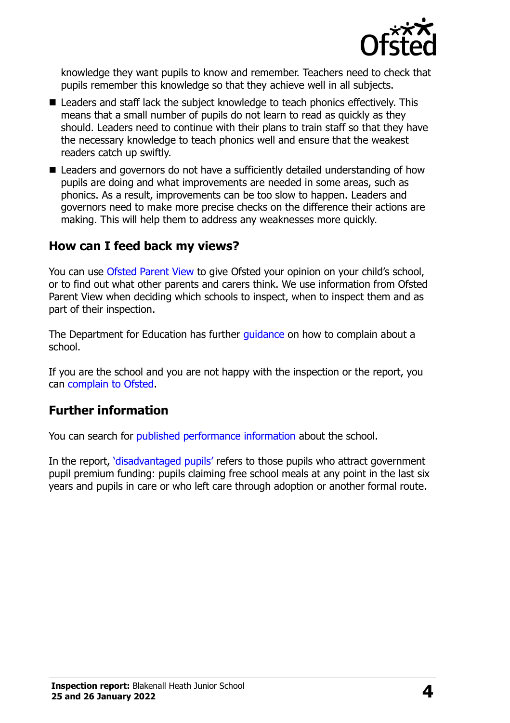

knowledge they want pupils to know and remember. Teachers need to check that pupils remember this knowledge so that they achieve well in all subjects.

- Leaders and staff lack the subject knowledge to teach phonics effectively. This means that a small number of pupils do not learn to read as quickly as they should. Leaders need to continue with their plans to train staff so that they have the necessary knowledge to teach phonics well and ensure that the weakest readers catch up swiftly.
- Leaders and governors do not have a sufficiently detailed understanding of how pupils are doing and what improvements are needed in some areas, such as phonics. As a result, improvements can be too slow to happen. Leaders and governors need to make more precise checks on the difference their actions are making. This will help them to address any weaknesses more quickly.

#### **How can I feed back my views?**

You can use [Ofsted Parent View](http://parentview.ofsted.gov.uk/) to give Ofsted your opinion on your child's school, or to find out what other parents and carers think. We use information from Ofsted Parent View when deciding which schools to inspect, when to inspect them and as part of their inspection.

The Department for Education has further quidance on how to complain about a school.

If you are the school and you are not happy with the inspection or the report, you can [complain to Ofsted.](http://www.gov.uk/complain-ofsted-report)

#### **Further information**

You can search for [published performance information](http://www.compare-school-performance.service.gov.uk/) about the school.

In the report, '[disadvantaged pupils](http://www.gov.uk/guidance/pupil-premium-information-for-schools-and-alternative-provision-settings)' refers to those pupils who attract government pupil premium funding: pupils claiming free school meals at any point in the last six years and pupils in care or who left care through adoption or another formal route.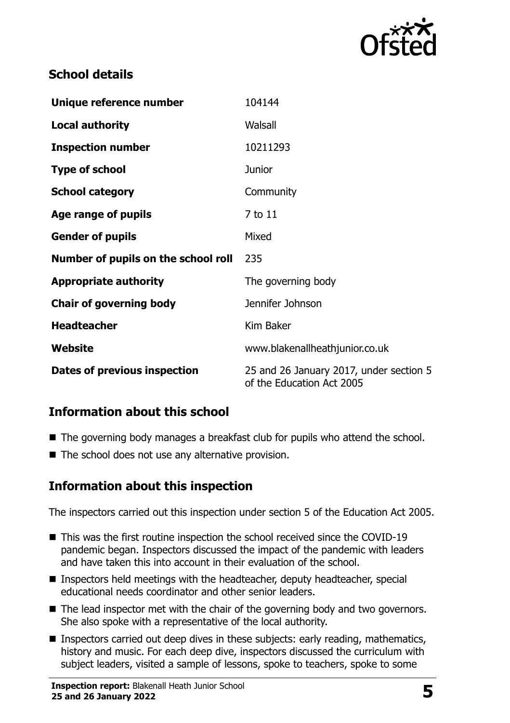

## **School details**

| Unique reference number             | 104144                                                               |
|-------------------------------------|----------------------------------------------------------------------|
| <b>Local authority</b>              | Walsall                                                              |
| <b>Inspection number</b>            | 10211293                                                             |
| <b>Type of school</b>               | <b>Junior</b>                                                        |
| <b>School category</b>              | Community                                                            |
| Age range of pupils                 | 7 to 11                                                              |
| <b>Gender of pupils</b>             | Mixed                                                                |
| Number of pupils on the school roll | 235                                                                  |
| <b>Appropriate authority</b>        | The governing body                                                   |
| <b>Chair of governing body</b>      | Jennifer Johnson                                                     |
| <b>Headteacher</b>                  | Kim Baker                                                            |
| Website                             | www.blakenallheathjunior.co.uk                                       |
| Dates of previous inspection        | 25 and 26 January 2017, under section 5<br>of the Education Act 2005 |

## **Information about this school**

- The governing body manages a breakfast club for pupils who attend the school.
- $\blacksquare$  The school does not use any alternative provision.

### **Information about this inspection**

The inspectors carried out this inspection under section 5 of the Education Act 2005.

- This was the first routine inspection the school received since the COVID-19 pandemic began. Inspectors discussed the impact of the pandemic with leaders and have taken this into account in their evaluation of the school.
- Inspectors held meetings with the headteacher, deputy headteacher, special educational needs coordinator and other senior leaders.
- The lead inspector met with the chair of the governing body and two governors. She also spoke with a representative of the local authority.
- Inspectors carried out deep dives in these subjects: early reading, mathematics, history and music. For each deep dive, inspectors discussed the curriculum with subject leaders, visited a sample of lessons, spoke to teachers, spoke to some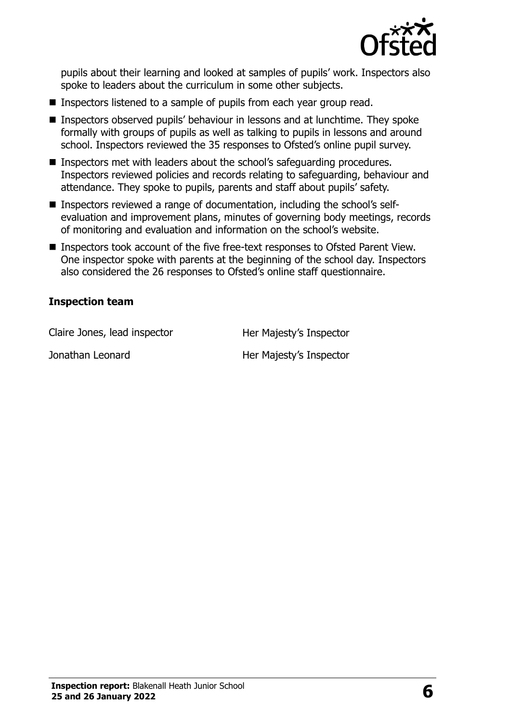

pupils about their learning and looked at samples of pupils' work. Inspectors also spoke to leaders about the curriculum in some other subjects.

- Inspectors listened to a sample of pupils from each year group read.
- **Inspectors observed pupils' behaviour in lessons and at lunchtime. They spoke** formally with groups of pupils as well as talking to pupils in lessons and around school. Inspectors reviewed the 35 responses to Ofsted's online pupil survey.
- **Inspectors met with leaders about the school's safeguarding procedures.** Inspectors reviewed policies and records relating to safeguarding, behaviour and attendance. They spoke to pupils, parents and staff about pupils' safety.
- Inspectors reviewed a range of documentation, including the school's selfevaluation and improvement plans, minutes of governing body meetings, records of monitoring and evaluation and information on the school's website.
- Inspectors took account of the five free-text responses to Ofsted Parent View. One inspector spoke with parents at the beginning of the school day. Inspectors also considered the 26 responses to Ofsted's online staff questionnaire.

#### **Inspection team**

Claire Jones, lead inspector **Her Majesty's Inspector** 

Jonathan Leonard **Her Majesty's Inspector**